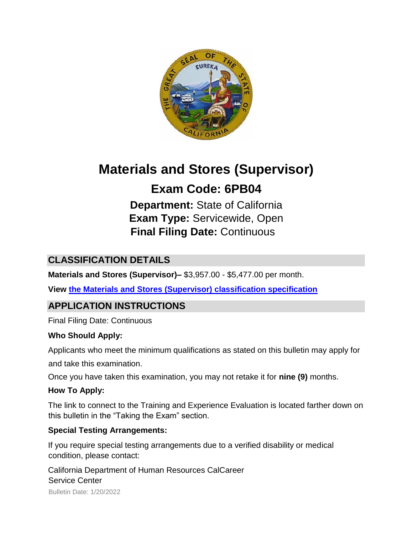

# **Materials and Stores (Supervisor)**

## **Exam Code: 6PB04**

**Department:** State of California **Exam Type:** Servicewide, Open **Final Filing Date:** Continuous

## **CLASSIFICATION DETAILS**

**Materials and Stores (Supervisor)–** \$3,957.00 - \$5,477.00 per month.

**View [the Materials and Stores \(Supervisor\) classification specification](http://calhr.ca.gov/state-hr-professionals/pages/1506.aspx)**

## **APPLICATION INSTRUCTIONS**

Final Filing Date: Continuous

#### **Who Should Apply:**

Applicants who meet the minimum qualifications as stated on this bulletin may apply for

and take this examination.

Once you have taken this examination, you may not retake it for **nine (9)** months.

#### **How To Apply:**

The link to connect to the Training and Experience Evaluation is located farther down on this bulletin in the "Taking the Exam" section.

#### **Special Testing Arrangements:**

If you require special testing arrangements due to a verified disability or medical condition, please contact:

Bulletin Date: 1/20/2022 California Department of Human Resources CalCareer Service Center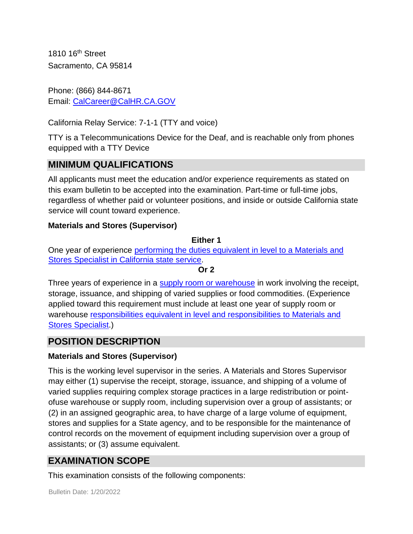1810 16th Street Sacramento, CA 95814

Phone: (866) 844-8671 Email: CalCareer@CalHR.CA.GOV

California Relay Service: 7-1-1 (TTY and voice)

TTY is a Telecommunications Device for the Deaf, and is reachable only from phones equipped with a TTY Device

## **MINIMUM QUALIFICATIONS**

All applicants must meet the education and/or experience requirements as stated on this exam bulletin to be accepted into the examination. Part-time or full-time jobs, regardless of whether paid or volunteer positions, and inside or outside California state service will count toward experience.

#### **Materials and Stores (Supervisor)**

#### **Either 1**

One year of experience [performing the duties equivalent in level to a Materials and](https://jobs.ca.gov/JOBSGEN/6PB04B.PDF) [Stores Specialist in California state service.](https://jobs.ca.gov/JOBSGEN/6PB04B.PDF) 

#### **Or 2**

Three years of experience in a [supply room or warehouse](https://jobs.ca.gov/JOBSGEN/6PB04C.PDF) [i](https://jobs.ca.gov/JOBSGEN/6PB04C.PDF)n work involving the receipt, storage, issuance, and shipping of varied supplies or food commodities. (Experience applied toward this requirement must include at least one year of supply room or warehouse [responsibilities equivalent in level and responsibilities to Materials and](https://jobs.ca.gov/JOBSGEN/6PB04D.PDF) [Stores Specialist.\)](https://jobs.ca.gov/JOBSGEN/6PB04D.PDF)

## **POSITION DESCRIPTION**

#### **Materials and Stores (Supervisor)**

This is the working level supervisor in the series. A Materials and Stores Supervisor may either (1) supervise the receipt, storage, issuance, and shipping of a volume of varied supplies requiring complex storage practices in a large redistribution or pointofuse warehouse or supply room, including supervision over a group of assistants; or (2) in an assigned geographic area, to have charge of a large volume of equipment, stores and supplies for a State agency, and to be responsible for the maintenance of control records on the movement of equipment including supervision over a group of assistants; or (3) assume equivalent.

## **EXAMINATION SCOPE**

This examination consists of the following components: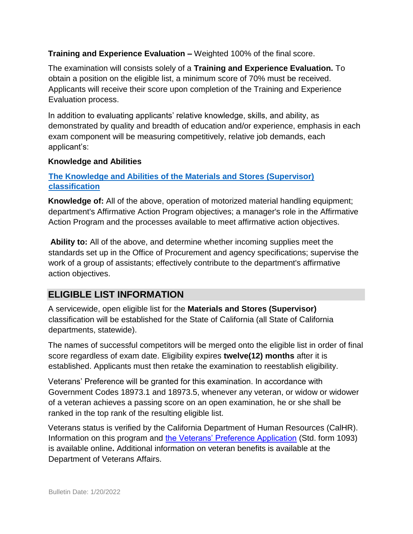#### **Training and Experience Evaluation –** Weighted 100% of the final score.

The examination will consists solely of a **Training and Experience Evaluation.** To obtain a position on the eligible list, a minimum score of 70% must be received. Applicants will receive their score upon completion of the Training and Experience Evaluation process.

In addition to evaluating applicants' relative knowledge, skills, and ability, as demonstrated by quality and breadth of education and/or experience, emphasis in each exam component will be measuring competitively, relative job demands, each applicant's:

#### **Knowledge and Abilities**

#### **[The Knowledge and Abilities of the Materials and Stores \(Supervisor\)](http://calhr.ca.gov/state-hr-professionals/pages/1506.aspx)  [classification](http://calhr.ca.gov/state-hr-professionals/pages/1506.aspx)**

**Knowledge of:** All of the above, operation of motorized material handling equipment; department's Affirmative Action Program objectives; a manager's role in the Affirmative Action Program and the processes available to meet affirmative action objectives.

**Ability to:** All of the above, and determine whether incoming supplies meet the standards set up in the Office of Procurement and agency specifications; supervise the work of a group of assistants; effectively contribute to the department's affirmative action objectives.

## **ELIGIBLE LIST INFORMATION**

A servicewide, open eligible list for the **Materials and Stores (Supervisor)** classification will be established for the State of California (all State of California departments, statewide).

The names of successful competitors will be merged onto the eligible list in order of final score regardless of exam date. Eligibility expires **twelve(12) months** after it is established. Applicants must then retake the examination to reestablish eligibility.

Veterans' Preference will be granted for this examination. In accordance with Government Codes 18973.1 and 18973.5, whenever any veteran, or widow or widower of a veteran achieves a passing score on an open examination, he or she shall be ranked in the top rank of the resulting eligible list.

Veterans status is verified by the California Department of Human Resources (CalHR). Information on this program and [the Veterans' Preference Application](https://www.jobs.ca.gov/CalHRPublic/Landing/Jobs/VeteransInformation.aspx) [\(](https://www.jobs.ca.gov/CalHRPublic/Landing/Jobs/VeteransInformation.aspx)Std. form 1093) is available online**.** Additional information on veteran benefits is available at the Department of Veterans Affairs.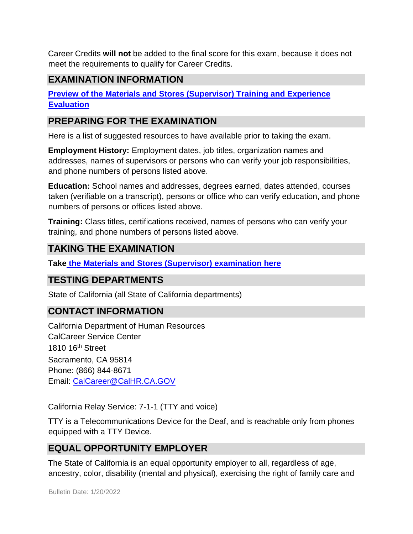Career Credits **will not** be added to the final score for this exam, because it does not meet the requirements to qualify for Career Credits.

### **EXAMINATION INFORMATION**

**[Preview of the Materials and Stores \(Supervisor\) Training and Experience](https://jobs.ca.gov/jobsgen/6PB04A.pdf) [Evaluation](https://jobs.ca.gov/jobsgen/6PB04A.pdf)**

#### **PREPARING FOR THE EXAMINATION**

Here is a list of suggested resources to have available prior to taking the exam.

**Employment History:** Employment dates, job titles, organization names and addresses, names of supervisors or persons who can verify your job responsibilities, and phone numbers of persons listed above.

**Education:** School names and addresses, degrees earned, dates attended, courses taken (verifiable on a transcript), persons or office who can verify education, and phone numbers of persons or offices listed above.

**Training:** Class titles, certifications received, names of persons who can verify your training, and phone numbers of persons listed above.

## **TAKING THE EXAMINATION**

**Tak[e](https://exams.spb.ca.gov/exams/mssup/index.cfm) [the Materials and Stores \(Supervisor\) examination here](https://exams.spb.ca.gov/exams/mssup/index.cfm)**

## **TESTING DEPARTMENTS**

State of California (all State of California departments)

## **CONTACT INFORMATION**

California Department of Human Resources CalCareer Service Center 1810 16th Street Sacramento, CA 95814 Phone: (866) 844-8671 Email: CalCareer@CalHR.CA.GOV

California Relay Service: 7-1-1 (TTY and voice)

TTY is a Telecommunications Device for the Deaf, and is reachable only from phones equipped with a TTY Device.

## **EQUAL OPPORTUNITY EMPLOYER**

The State of California is an equal opportunity employer to all, regardless of age, ancestry, color, disability (mental and physical), exercising the right of family care and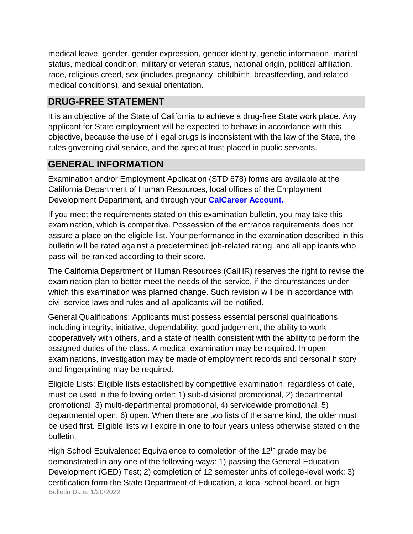medical leave, gender, gender expression, gender identity, genetic information, marital status, medical condition, military or veteran status, national origin, political affiliation, race, religious creed, sex (includes pregnancy, childbirth, breastfeeding, and related medical conditions), and sexual orientation.

## **DRUG-FREE STATEMENT**

It is an objective of the State of California to achieve a drug-free State work place. Any applicant for State employment will be expected to behave in accordance with this objective, because the use of illegal drugs is inconsistent with the law of the State, the rules governing civil service, and the special trust placed in public servants.

## **GENERAL INFORMATION**

Examination and/or Employment Application (STD 678) forms are available at the California Department of Human Resources, local offices of the Employment Development Department, and through your **[CalCareer Account.](http://www.jobs.ca.gov/)**

If you meet the requirements stated on this examination bulletin, you may take this examination, which is competitive. Possession of the entrance requirements does not assure a place on the eligible list. Your performance in the examination described in this bulletin will be rated against a predetermined job-related rating, and all applicants who pass will be ranked according to their score.

The California Department of Human Resources (CalHR) reserves the right to revise the examination plan to better meet the needs of the service, if the circumstances under which this examination was planned change. Such revision will be in accordance with civil service laws and rules and all applicants will be notified.

General Qualifications: Applicants must possess essential personal qualifications including integrity, initiative, dependability, good judgement, the ability to work cooperatively with others, and a state of health consistent with the ability to perform the assigned duties of the class. A medical examination may be required. In open examinations, investigation may be made of employment records and personal history and fingerprinting may be required.

Eligible Lists: Eligible lists established by competitive examination, regardless of date, must be used in the following order: 1) sub-divisional promotional, 2) departmental promotional, 3) multi-departmental promotional, 4) servicewide promotional, 5) departmental open, 6) open. When there are two lists of the same kind, the older must be used first. Eligible lists will expire in one to four years unless otherwise stated on the bulletin.

Bulletin Date: 1/20/2022 High School Equivalence: Equivalence to completion of the  $12<sup>th</sup>$  grade may be demonstrated in any one of the following ways: 1) passing the General Education Development (GED) Test; 2) completion of 12 semester units of college-level work; 3) certification form the State Department of Education, a local school board, or high